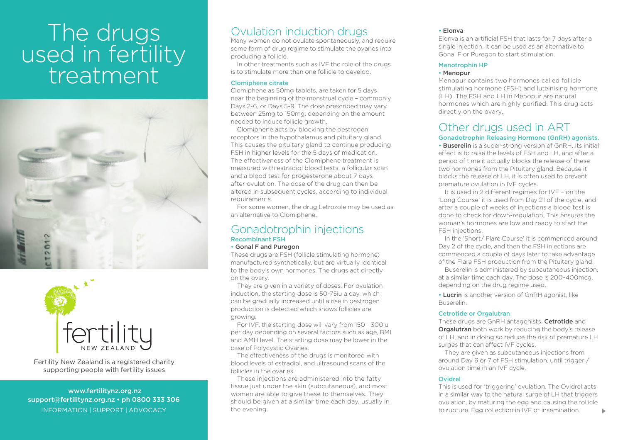# The drugs used in fertility treatment





Fertility New Zealand is a registered charity supporting people with fertility issues

 www.fertilitynz.org.nz support@fertilitynz.org.nz • ph 0800 333 306 inf ormation | support | advocacy

# Ovulation induction drugs

Many women do not ovulate spontaneously, and require some form of drug regime to stimulate the ovaries into producing a follicle.

In other treatments such as IVF the role of the drugs is to stimulate more than one follicle to develop.

#### Clomiphene citrate

Clomiphene as 50mg tablets, are taken for 5 days near the beginning of the menstrual cycle – commonly Days 2-6, or Days 5-9. The dose prescribed may vary between 25mg to 150mg, depending on the amount needed to induce follicle growth.

Clomiphene acts by blocking the oestrogen receptors in the hypothalamus and pituitary gland. This causes the pituitary gland to continue producing FSH in higher levels for the 5 days of medication. The effectiveness of the Clomiphene treatment is measured with estradiol blood tests, a follicular scan and a blood test for progesterone about 7 days after ovulation. The dose of the drug can then be altered in subsequent cycles, according to individual requirements.

For some women, the drug Letrozole may be used as an alternative to Clomiphene.

# Gonadotrophin injections Recombinant FSH

# • Gonal F and Puregon

These drugs are FSH (follicle stimulating hormone) manufactured synthetically, but are virtually identical to the body's own hormones. The drugs act directly on the ovary.

They are given in a variety of doses. For ovulation induction, the starting dose is 50-75iu a day, which can be gradually increased until a rise in oestrogen production is detected which shows follicles are growing.

For IVF, the starting dose will vary from 150 - 300iu per day depending on several factors such as age, BMI and AMH level. The starting dose may be lower in the case of Polycystic Ovaries.

The effectiveness of the drugs is monitored with blood levels of estradiol, and ultrasound scans of the follicles in the ovaries.

These injections are administered into the fatty tissue just under the skin (subcutaneous), and most women are able to give these to themselves. They should be given at a similar time each day, usually in the evening.

# • Elonva

Elonva is an artificial FSH that lasts for 7 days after a single injection. It can be used as an alternative to Gonal F or Puregon to start stimulation.

# Menotrophin HP

# • Menopur

Menopur contains two hormones called follicle stimulating hormone (FSH) and luteinising hormone (LH). The FSH and LH in Menopur are natural hormones which are highly purified. This drug acts directly on the ovary.

# Other drugs used in ART

# Gonadotrophin Releasing Hormone (GnRH) agonists.

• Buserelin is a super-strong version of GnRH. Its initial effect is to raise the levels of FSH and LH, and after a period of time it actually blocks the release of these two hormones from the Pituitary gland. Because it blocks the release of LH, it is often used to prevent premature ovulation in IVF cycles.

It is used in 2 different regimes for IVF – on the 'Long Course' it is used from Day 21 of the cycle, and after a couple of weeks of injections a blood test is done to check for down-regulation. This ensures the woman's hormones are low and ready to start the FSH injections.

In the 'Short/ Flare Course' it is commenced around Day 2 of the cycle, and then the FSH injections are commenced a couple of days later to take advantage of the Flare FSH production from the Pituitary gland.

Buserelin is administered by subcutaneous injection, at a similar time each day. The dose is 200-400mcg, depending on the drug regime used.

• Lucrin is another version of GnRH agonist, like Buserelin.

### Cetrotide or Orgalutran

These drugs are GnRH antagonists. Cetrotide and **Orgalutran** both work by reducing the body's release of LH, and in doing so reduce the risk of premature LH surges that can affect IVF cycles.

They are given as subcutaneous injections from around Day 6 or 7 of FSH stimulation, until trigger / ovulation time in an IVF cycle.

# Ovidrel

This is used for 'triggering' ovulation. The Ovidrel acts in a similar way to the natural surge of LH that triggers ovulation, by maturing the egg and causing the follicle to rupture. Egg collection in IVF or insemination